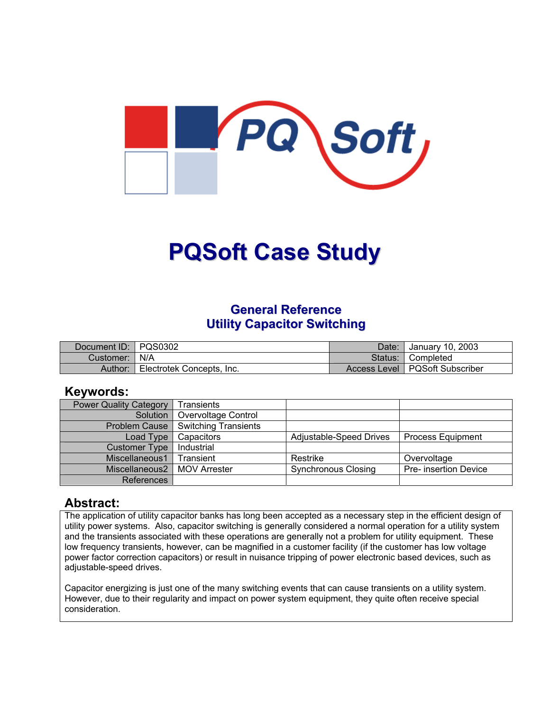

# **PQSoft Case Study**

## **General Reference Utility Capacitor Switching**

| Document ID: PQS0302 |                           | Date:   | January 10, 2003                 |
|----------------------|---------------------------|---------|----------------------------------|
| Customer:   N/A      |                           | Status: | I Completed                      |
| Author:              | Electrotek Concepts, Inc. |         | Access Level   PQSoft Subscriber |

## **Keywords:**

| <b>Power Quality Category</b> | Transients                  |                            |                          |
|-------------------------------|-----------------------------|----------------------------|--------------------------|
| Solution                      | Overvoltage Control         |                            |                          |
| <b>Problem Cause</b>          | <b>Switching Transients</b> |                            |                          |
| Load Type                     | Capacitors                  | Adjustable-Speed Drives    | <b>Process Equipment</b> |
| <b>Customer Type</b>          | Industrial                  |                            |                          |
| Miscellaneous1                | Transient                   | Restrike                   | Overvoltage              |
| Miscellaneous2                | MOV Arrester                | <b>Synchronous Closing</b> | Pre- insertion Device    |
| References                    |                             |                            |                          |

## **Abstract:**

The application of utility capacitor banks has long been accepted as a necessary step in the efficient design of utility power systems. Also, capacitor switching is generally considered a normal operation for a utility system and the transients associated with these operations are generally not a problem for utility equipment. These low frequency transients, however, can be magnified in a customer facility (if the customer has low voltage power factor correction capacitors) or result in nuisance tripping of power electronic based devices, such as adjustable-speed drives.

Capacitor energizing is just one of the many switching events that can cause transients on a utility system. However, due to their regularity and impact on power system equipment, they quite often receive special consideration.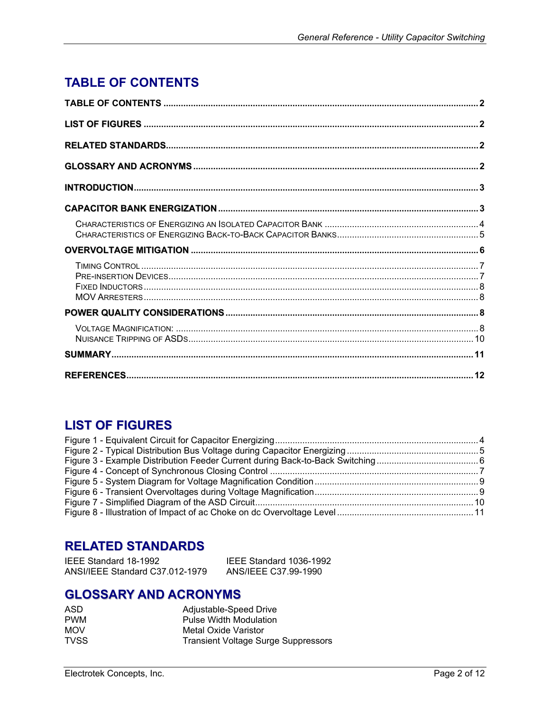# <span id="page-1-0"></span>**TABLE OF CONTENTS**

# **LIST OF FIGURES**

# **RELATED STANDARDS**

| IEEE Standard 18-1992           | IEEE Standard 1036-1992 |
|---------------------------------|-------------------------|
| ANSI/IEEE Standard C37.012-1979 | ANS/IEEE C37.99-1990    |

# **GLOSSARY AND ACRONYMS**

| ASD         | Adjustable-Speed Drive                     |
|-------------|--------------------------------------------|
| <b>PWM</b>  | <b>Pulse Width Modulation</b>              |
| <b>MOV</b>  | Metal Oxide Varistor                       |
| <b>TVSS</b> | <b>Transient Voltage Surge Suppressors</b> |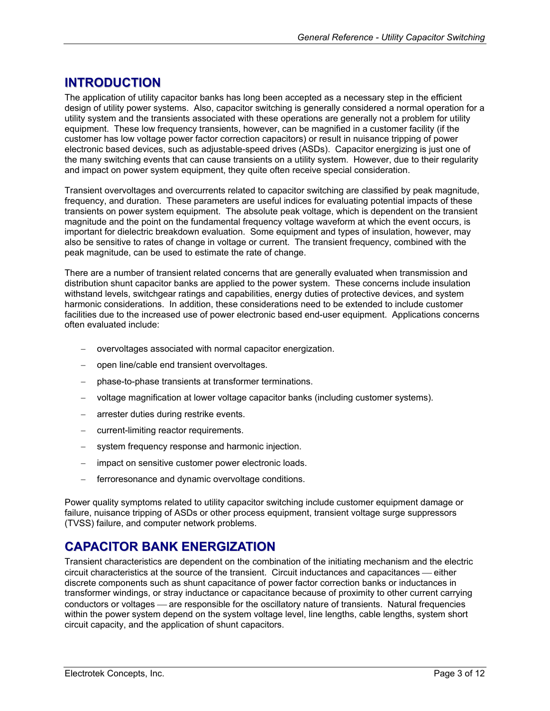# <span id="page-2-0"></span>**INTRODUCTION**

The application of utility capacitor banks has long been accepted as a necessary step in the efficient design of utility power systems. Also, capacitor switching is generally considered a normal operation for a utility system and the transients associated with these operations are generally not a problem for utility equipment. These low frequency transients, however, can be magnified in a customer facility (if the customer has low voltage power factor correction capacitors) or result in nuisance tripping of power electronic based devices, such as adjustable-speed drives (ASDs). Capacitor energizing is just one of the many switching events that can cause transients on a utility system. However, due to their regularity and impact on power system equipment, they quite often receive special consideration.

Transient overvoltages and overcurrents related to capacitor switching are classified by peak magnitude, frequency, and duration. These parameters are useful indices for evaluating potential impacts of these transients on power system equipment. The absolute peak voltage, which is dependent on the transient magnitude and the point on the fundamental frequency voltage waveform at which the event occurs, is important for dielectric breakdown evaluation. Some equipment and types of insulation, however, may also be sensitive to rates of change in voltage or current. The transient frequency, combined with the peak magnitude, can be used to estimate the rate of change.

There are a number of transient related concerns that are generally evaluated when transmission and distribution shunt capacitor banks are applied to the power system. These concerns include insulation withstand levels, switchgear ratings and capabilities, energy duties of protective devices, and system harmonic considerations. In addition, these considerations need to be extended to include customer facilities due to the increased use of power electronic based end-user equipment. Applications concerns often evaluated include:

- − overvoltages associated with normal capacitor energization.
- − open line/cable end transient overvoltages.
- − phase-to-phase transients at transformer terminations.
- − voltage magnification at lower voltage capacitor banks (including customer systems).
- arrester duties during restrike events.
- − current-limiting reactor requirements.
- − system frequency response and harmonic injection.
- − impact on sensitive customer power electronic loads.
- ferroresonance and dynamic overvoltage conditions.

Power quality symptoms related to utility capacitor switching include customer equipment damage or failure, nuisance tripping of ASDs or other process equipment, transient voltage surge suppressors (TVSS) failure, and computer network problems.

## **CAPACITOR BANK ENERGIZATION**

Transient characteristics are dependent on the combination of the initiating mechanism and the electric circuit characteristics at the source of the transient. Circuit inductances and capacitances — either discrete components such as shunt capacitance of power factor correction banks or inductances in transformer windings, or stray inductance or capacitance because of proximity to other current carrying conductors or voltages — are responsible for the oscillatory nature of transients. Natural frequencies within the power system depend on the system voltage level, line lengths, cable lengths, system short circuit capacity, and the application of shunt capacitors.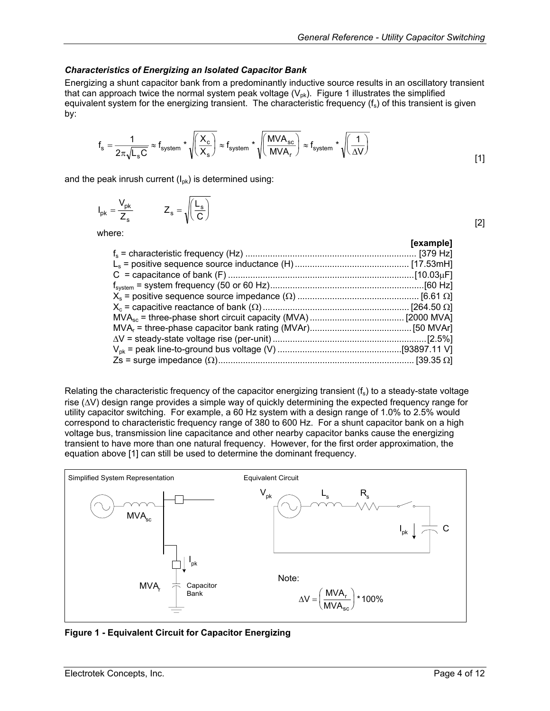#### <span id="page-3-0"></span>*Characteristics of Energizing an Isolated Capacitor Bank*

Energizing a shunt capacitor bank from a predominantly inductive source results in an oscillatory transient that can approach twice the normal system peak voltage  $(V_{pk})$ . [Figure 1](#page-3-1) illustrates the simplified equivalent system for the energizing transient. The characteristic frequency  $(f_s)$  of this transient is given by:

$$
f_s = \frac{1}{2\pi\sqrt{L_sC}} \approx f_{system} * \sqrt{\left(\frac{X_c}{X_s}\right)} \approx f_{system} * \sqrt{\left(\frac{MVA_{sc}}{MVA_r}\right)} \approx f_{system} * \sqrt{\left(\frac{1}{\Delta V}\right)}
$$

and the peak inrush current  $(I_{\text{ok}})$  is determined using:

$$
I_{pk} = \frac{V_{pk}}{Z_s} \qquad Z_s = \sqrt{\left(\frac{L_s}{C}\right)}
$$

where:

|  | [example] |
|--|-----------|
|  |           |
|  |           |
|  |           |
|  |           |
|  |           |
|  |           |
|  |           |
|  |           |
|  |           |
|  |           |
|  |           |
|  |           |

Relating the characteristic frequency of the capacitor energizing transient  $(f_s)$  to a steady-state voltage rise (∆V) design range provides a simple way of quickly determining the expected frequency range for utility capacitor switching. For example, a 60 Hz system with a design range of 1.0% to 2.5% would correspond to characteristic frequency range of 380 to 600 Hz. For a shunt capacitor bank on a high voltage bus, transmission line capacitance and other nearby capacitor banks cause the energizing transient to have more than one natural frequency. However, for the first order approximation, the equation above [1] can still be used to determine the dominant frequency.

<span id="page-3-1"></span>

**Figure 1 - Equivalent Circuit for Capacitor Energizing** 

[2]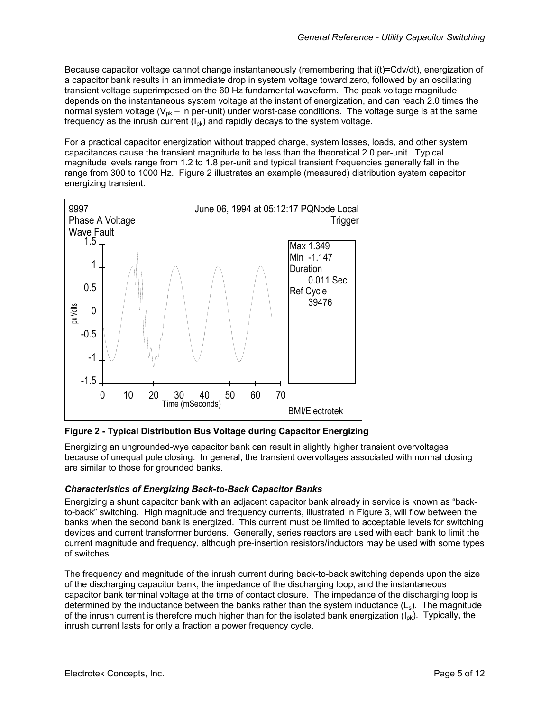<span id="page-4-0"></span>Because capacitor voltage cannot change instantaneously (remembering that i(t)=Cdv/dt), energization of a capacitor bank results in an immediate drop in system voltage toward zero, followed by an oscillating transient voltage superimposed on the 60 Hz fundamental waveform. The peak voltage magnitude depends on the instantaneous system voltage at the instant of energization, and can reach 2.0 times the normal system voltage ( $V_{\text{pk}}$  – in per-unit) under worst-case conditions. The voltage surge is at the same frequency as the inrush current  $(I_{\text{ok}})$  and rapidly decays to the system voltage.

For a practical capacitor energization without trapped charge, system losses, loads, and other system capacitances cause the transient magnitude to be less than the theoretical 2.0 per-unit. Typical magnitude levels range from 1.2 to 1.8 per-unit and typical transient frequencies generally fall in the range from 300 to 1000 Hz. [Figure 2](#page-4-1) illustrates an example (measured) distribution system capacitor energizing transient.

<span id="page-4-1"></span>

**Figure 2 - Typical Distribution Bus Voltage during Capacitor Energizing** 

Energizing an ungrounded-wye capacitor bank can result in slightly higher transient overvoltages because of unequal pole closing. In general, the transient overvoltages associated with normal closing are similar to those for grounded banks.

## *Characteristics of Energizing Back-to-Back Capacitor Banks*

Energizing a shunt capacitor bank with an adjacent capacitor bank already in service is known as "back-to-back" switching. High magnitude and frequency currents, illustrated in [Figure 3](#page-5-1), will flow between the banks when the second bank is energized. This current must be limited to acceptable levels for switching devices and current transformer burdens. Generally, series reactors are used with each bank to limit the current magnitude and frequency, although pre-insertion resistors/inductors may be used with some types of switches.

The frequency and magnitude of the inrush current during back-to-back switching depends upon the size of the discharging capacitor bank, the impedance of the discharging loop, and the instantaneous capacitor bank terminal voltage at the time of contact closure. The impedance of the discharging loop is determined by the inductance between the banks rather than the system inductance  $(L_s)$ . The magnitude of the inrush current is therefore much higher than for the isolated bank energization  $(I_{\text{ok}})$ . Typically, the inrush current lasts for only a fraction a power frequency cycle.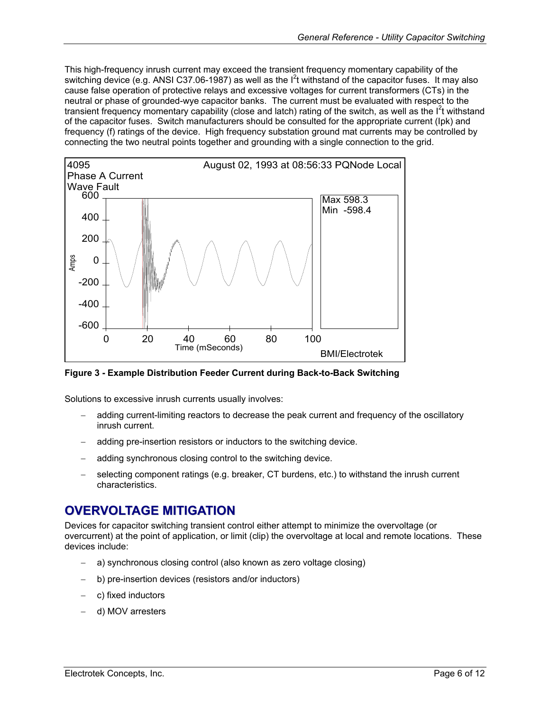<span id="page-5-0"></span>This high-frequency inrush current may exceed the transient frequency momentary capability of the switching device (e.g. ANSI C37.06-1987) as well as the  $I<sup>2</sup>$ t withstand of the capacitor fuses. It may also cause false operation of protective relays and excessive voltages for current transformers (CTs) in the neutral or phase of grounded-wye capacitor banks. The current must be evaluated with respect to the transient frequency momentary capability (close and latch) rating of the switch, as well as the l<sup>2</sup>t withstand of the capacitor fuses. Switch manufacturers should be consulted for the appropriate current (Ipk) and frequency (f) ratings of the device. High frequency substation ground mat currents may be controlled by connecting the two neutral points together and grounding with a single connection to the grid.

<span id="page-5-1"></span>

**Figure 3 - Example Distribution Feeder Current during Back-to-Back Switching** 

Solutions to excessive inrush currents usually involves:

- adding current-limiting reactors to decrease the peak current and frequency of the oscillatory inrush current.
- − adding pre-insertion resistors or inductors to the switching device.
- adding synchronous closing control to the switching device.
- selecting component ratings (e.g. breaker, CT burdens, etc.) to withstand the inrush current characteristics.

# **OVERVOLTAGE MITIGATION**

Devices for capacitor switching transient control either attempt to minimize the overvoltage (or overcurrent) at the point of application, or limit (clip) the overvoltage at local and remote locations. These devices include:

- a) synchronous closing control (also known as zero voltage closing)
- − b) pre-insertion devices (resistors and/or inductors)
- − c) fixed inductors
- − d) MOV arresters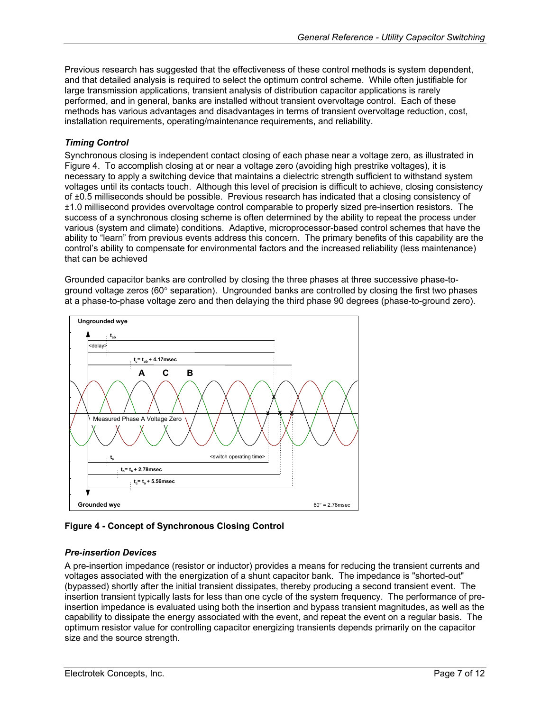<span id="page-6-0"></span>Previous research has suggested that the effectiveness of these control methods is system dependent, and that detailed analysis is required to select the optimum control scheme. While often justifiable for large transmission applications, transient analysis of distribution capacitor applications is rarely performed, and in general, banks are installed without transient overvoltage control. Each of these methods has various advantages and disadvantages in terms of transient overvoltage reduction, cost, installation requirements, operating/maintenance requirements, and reliability.

## *Timing Control*

Synchronous closing is independent contact closing of each phase near a voltage zero, as illustrated in [Figure](#page-6-1) 4. To accomplish closing at or near a voltage zero (avoiding high prestrike voltages), it is necessary to apply a switching device that maintains a dielectric strength sufficient to withstand system voltages until its contacts touch. Although this level of precision is difficult to achieve, closing consistency of ±0.5 milliseconds should be possible. Previous research has indicated that a closing consistency of ±1.0 millisecond provides overvoltage control comparable to properly sized pre-insertion resistors. The success of a synchronous closing scheme is often determined by the ability to repeat the process under various (system and climate) conditions. Adaptive, microprocessor-based control schemes that have the ability to "learn" from previous events address this concern. The primary benefits of this capability are the control's ability to compensate for environmental factors and the increased reliability (less maintenance) that can be achieved

Grounded capacitor banks are controlled by closing the three phases at three successive phase-toground voltage zeros (60° separation). Ungrounded banks are controlled by closing the first two phases at a phase-to-phase voltage zero and then delaying the third phase 90 degrees (phase-to-ground zero).

<span id="page-6-1"></span>

## **Figure 4 - Concept of Synchronous Closing Control**

## *Pre-insertion Devices*

A pre-insertion impedance (resistor or inductor) provides a means for reducing the transient currents and voltages associated with the energization of a shunt capacitor bank. The impedance is "shorted-out" (bypassed) shortly after the initial transient dissipates, thereby producing a second transient event. The insertion transient typically lasts for less than one cycle of the system frequency. The performance of preinsertion impedance is evaluated using both the insertion and bypass transient magnitudes, as well as the capability to dissipate the energy associated with the event, and repeat the event on a regular basis. The optimum resistor value for controlling capacitor energizing transients depends primarily on the capacitor size and the source strength.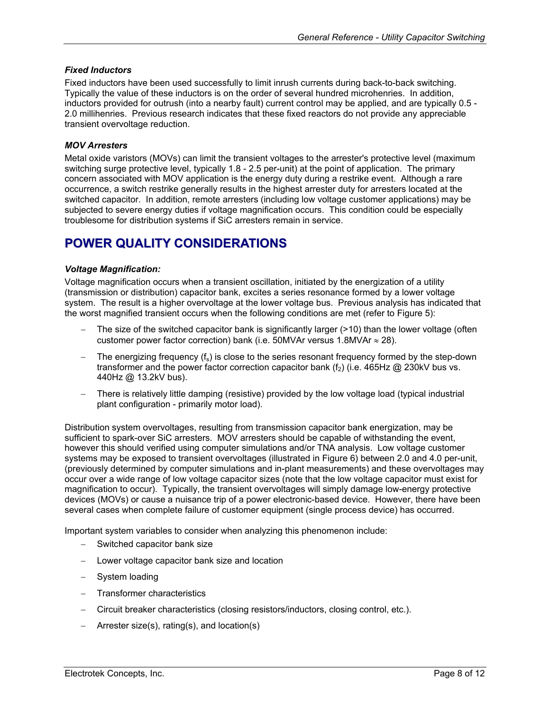#### <span id="page-7-0"></span>*Fixed Inductors*

Fixed inductors have been used successfully to limit inrush currents during back-to-back switching. Typically the value of these inductors is on the order of several hundred microhenries. In addition, inductors provided for outrush (into a nearby fault) current control may be applied, and are typically 0.5 - 2.0 millihenries. Previous research indicates that these fixed reactors do not provide any appreciable transient overvoltage reduction.

#### *MOV Arresters*

Metal oxide varistors (MOVs) can limit the transient voltages to the arrester's protective level (maximum switching surge protective level, typically 1.8 - 2.5 per-unit) at the point of application. The primary concern associated with MOV application is the energy duty during a restrike event. Although a rare occurrence, a switch restrike generally results in the highest arrester duty for arresters located at the switched capacitor. In addition, remote arresters (including low voltage customer applications) may be subjected to severe energy duties if voltage magnification occurs. This condition could be especially troublesome for distribution systems if SiC arresters remain in service.

# **POWER QUALITY CONSIDERATIONS**

#### *Voltage Magnification:*

Voltage magnification occurs when a transient oscillation, initiated by the energization of a utility (transmission or distribution) capacitor bank, excites a series resonance formed by a lower voltage system. The result is a higher overvoltage at the lower voltage bus. Previous analysis has indicated that the worst magnified transient occurs when the following conditions are met (refer to [Figure](#page-8-1) 5):

- − The size of the switched capacitor bank is significantly larger (>10) than the lower voltage (often customer power factor correction) bank (i.e. 50MVAr versus 1.8MVAr  $\approx$  28).
- − The energizing frequency (f<sub>s</sub>) is close to the series resonant frequency formed by the step-down transformer and the power factor correction capacitor bank  $(f_2)$  (i.e. 465Hz  $\omega$  230kV bus vs. 440Hz @ 13.2kV bus).
- There is relatively little damping (resistive) provided by the low voltage load (typical industrial plant configuration - primarily motor load).

Distribution system overvoltages, resulting from transmission capacitor bank energization, may be sufficient to spark-over SiC arresters. MOV arresters should be capable of withstanding the event, however this should verified using computer simulations and/or TNA analysis. Low voltage customer systems may be exposed to transient overvoltages (illustrated in [Figure 6](#page-8-2)) between 2.0 and 4.0 per-unit, (previously determined by computer simulations and in-plant measurements) and these overvoltages may occur over a wide range of low voltage capacitor sizes (note that the low voltage capacitor must exist for magnification to occur). Typically, the transient overvoltages will simply damage low-energy protective devices (MOVs) or cause a nuisance trip of a power electronic-based device. However, there have been several cases when complete failure of customer equipment (single process device) has occurred.

Important system variables to consider when analyzing this phenomenon include:

- − Switched capacitor bank size
- − Lower voltage capacitor bank size and location
- − System loading
- − Transformer characteristics
- − Circuit breaker characteristics (closing resistors/inductors, closing control, etc.).
- − Arrester size(s), rating(s), and location(s)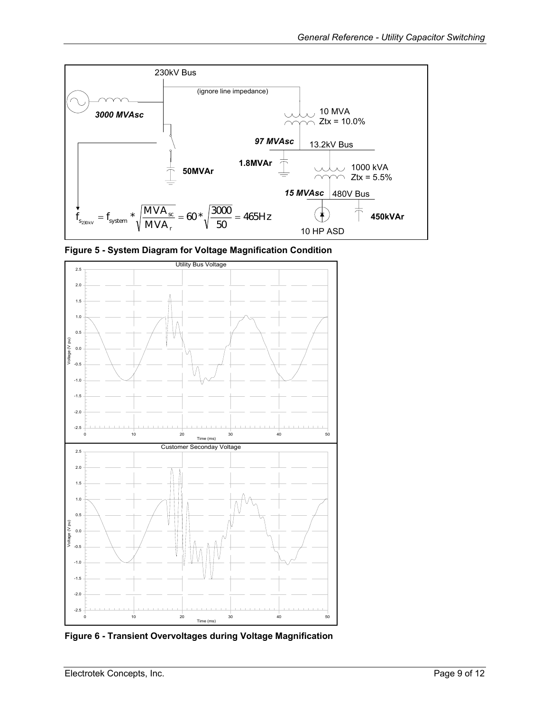<span id="page-8-1"></span><span id="page-8-0"></span>

**Figure 5 - System Diagram for Voltage Magnification Condition** 

<span id="page-8-2"></span>

**Figure 6 - Transient Overvoltages during Voltage Magnification**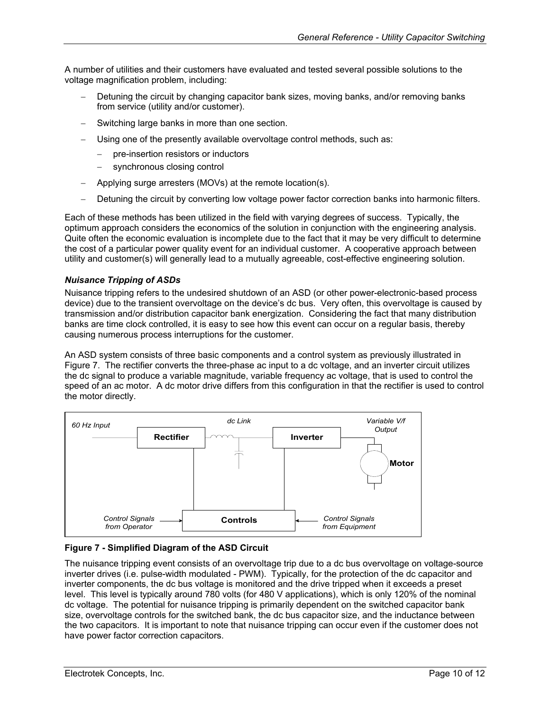<span id="page-9-0"></span>A number of utilities and their customers have evaluated and tested several possible solutions to the voltage magnification problem, including:

- Detuning the circuit by changing capacitor bank sizes, moving banks, and/or removing banks from service (utility and/or customer).
- Switching large banks in more than one section.
- Using one of the presently available overvoltage control methods, such as:
	- − pre-insertion resistors or inductors
	- − synchronous closing control
- − Applying surge arresters (MOVs) at the remote location(s).
- Detuning the circuit by converting low voltage power factor correction banks into harmonic filters.

Each of these methods has been utilized in the field with varying degrees of success. Typically, the optimum approach considers the economics of the solution in conjunction with the engineering analysis. Quite often the economic evaluation is incomplete due to the fact that it may be very difficult to determine the cost of a particular power quality event for an individual customer. A cooperative approach between utility and customer(s) will generally lead to a mutually agreeable, cost-effective engineering solution.

### *Nuisance Tripping of ASDs*

Nuisance tripping refers to the undesired shutdown of an ASD (or other power-electronic-based process device) due to the transient overvoltage on the device's dc bus. Very often, this overvoltage is caused by transmission and/or distribution capacitor bank energization. Considering the fact that many distribution banks are time clock controlled, it is easy to see how this event can occur on a regular basis, thereby causing numerous process interruptions for the customer.

An ASD system consists of three basic components and a control system as previously illustrated in [Figure](#page-9-1) 7. The rectifier converts the three-phase ac input to a dc voltage, and an inverter circuit utilizes the dc signal to produce a variable magnitude, variable frequency ac voltage, that is used to control the speed of an ac motor. A dc motor drive differs from this configuration in that the rectifier is used to control the motor directly.

<span id="page-9-1"></span>

#### **Figure 7 - Simplified Diagram of the ASD Circuit**

The nuisance tripping event consists of an overvoltage trip due to a dc bus overvoltage on voltage-source inverter drives (i.e. pulse-width modulated - PWM). Typically, for the protection of the dc capacitor and inverter components, the dc bus voltage is monitored and the drive tripped when it exceeds a preset level. This level is typically around 780 volts (for 480 V applications), which is only 120% of the nominal dc voltage. The potential for nuisance tripping is primarily dependent on the switched capacitor bank size, overvoltage controls for the switched bank, the dc bus capacitor size, and the inductance between the two capacitors. It is important to note that nuisance tripping can occur even if the customer does not have power factor correction capacitors.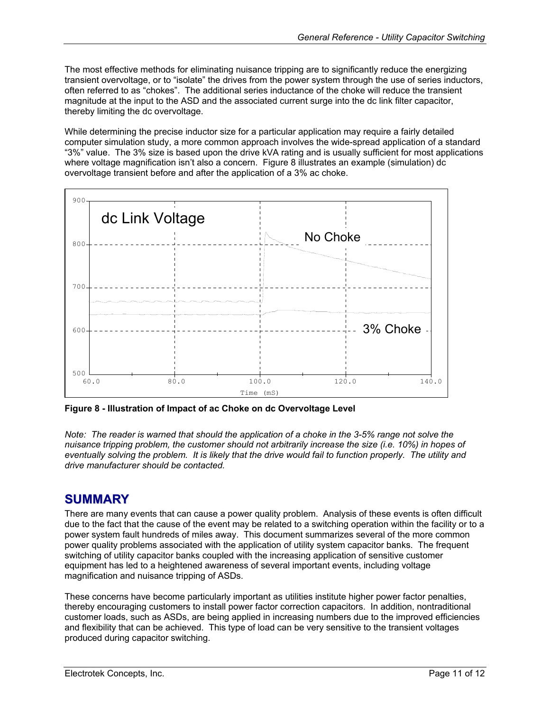<span id="page-10-0"></span>The most effective methods for eliminating nuisance tripping are to significantly reduce the energizing transient overvoltage, or to "isolate" the drives from the power system through the use of series inductors, often referred to as "chokes". The additional series inductance of the choke will reduce the transient magnitude at the input to the ASD and the associated current surge into the dc link filter capacitor, thereby limiting the dc overvoltage.

While determining the precise inductor size for a particular application may require a fairly detailed computer simulation study, a more common approach involves the wide-spread application of a standard "3%" value. The 3% size is based upon the drive kVA rating and is usually sufficient for most applications where voltage magnification isn't also a concern. [Figure 8](#page-10-1) illustrates an example (simulation) dc overvoltage transient before and after the application of a 3% ac choke.

<span id="page-10-1"></span>

**Figure 8 - Illustration of Impact of ac Choke on dc Overvoltage Level** 

*Note: The reader is warned that should the application of a choke in the 3-5% range not solve the nuisance tripping problem, the customer should not arbitrarily increase the size (i.e. 10%) in hopes of eventually solving the problem. It is likely that the drive would fail to function properly. The utility and drive manufacturer should be contacted.* 

## **SUMMARY**

There are many events that can cause a power quality problem. Analysis of these events is often difficult due to the fact that the cause of the event may be related to a switching operation within the facility or to a power system fault hundreds of miles away. This document summarizes several of the more common power quality problems associated with the application of utility system capacitor banks. The frequent switching of utility capacitor banks coupled with the increasing application of sensitive customer equipment has led to a heightened awareness of several important events, including voltage magnification and nuisance tripping of ASDs.

These concerns have become particularly important as utilities institute higher power factor penalties, thereby encouraging customers to install power factor correction capacitors. In addition, nontraditional customer loads, such as ASDs, are being applied in increasing numbers due to the improved efficiencies and flexibility that can be achieved. This type of load can be very sensitive to the transient voltages produced during capacitor switching.